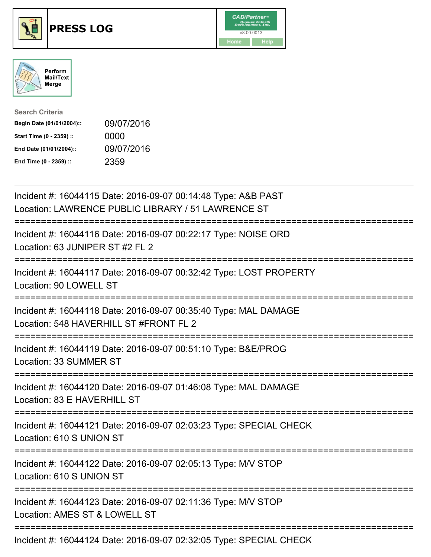





| <b>Search Criteria</b>    |            |
|---------------------------|------------|
| Begin Date (01/01/2004):: | 09/07/2016 |
| Start Time (0 - 2359) ::  | 0000       |
| End Date (01/01/2004)::   | 09/07/2016 |
| End Time (0 - 2359) ::    | 2359       |

| Incident #: 16044115 Date: 2016-09-07 00:14:48 Type: A&B PAST<br>Location: LAWRENCE PUBLIC LIBRARY / 51 LAWRENCE ST                     |
|-----------------------------------------------------------------------------------------------------------------------------------------|
| Incident #: 16044116 Date: 2016-09-07 00:22:17 Type: NOISE ORD<br>Location: 63 JUNIPER ST #2 FL 2                                       |
| Incident #: 16044117 Date: 2016-09-07 00:32:42 Type: LOST PROPERTY<br>Location: 90 LOWELL ST                                            |
| Incident #: 16044118 Date: 2016-09-07 00:35:40 Type: MAL DAMAGE<br>Location: 548 HAVERHILL ST #FRONT FL 2<br>:========================= |
| Incident #: 16044119 Date: 2016-09-07 00:51:10 Type: B&E/PROG<br>Location: 33 SUMMER ST<br>__________________________________           |
| Incident #: 16044120 Date: 2016-09-07 01:46:08 Type: MAL DAMAGE<br>Location: 83 E HAVERHILL ST                                          |
| =====================================<br>Incident #: 16044121 Date: 2016-09-07 02:03:23 Type: SPECIAL CHECK<br>Location: 610 S UNION ST |
| Incident #: 16044122 Date: 2016-09-07 02:05:13 Type: M/V STOP<br>Location: 610 S UNION ST                                               |
| Incident #: 16044123 Date: 2016-09-07 02:11:36 Type: M/V STOP<br>Location: AMES ST & LOWELL ST                                          |
| Incident #: 16044124 Date: 2016-09-07 02:32:05 Type: SPECIAL CHECK                                                                      |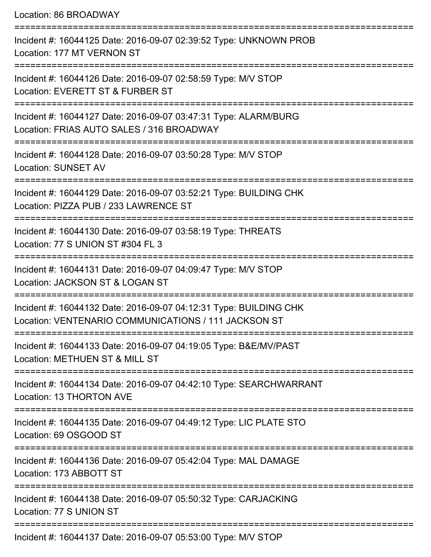| Location: 86 BROADWAY                                                                                                                         |
|-----------------------------------------------------------------------------------------------------------------------------------------------|
| Incident #: 16044125 Date: 2016-09-07 02:39:52 Type: UNKNOWN PROB<br>Location: 177 MT VERNON ST                                               |
| Incident #: 16044126 Date: 2016-09-07 02:58:59 Type: M/V STOP<br>Location: EVERETT ST & FURBER ST                                             |
| Incident #: 16044127 Date: 2016-09-07 03:47:31 Type: ALARM/BURG<br>Location: FRIAS AUTO SALES / 316 BROADWAY<br>:==========================   |
| Incident #: 16044128 Date: 2016-09-07 03:50:28 Type: M/V STOP<br><b>Location: SUNSET AV</b><br>--------------                                 |
| Incident #: 16044129 Date: 2016-09-07 03:52:21 Type: BUILDING CHK<br>Location: PIZZA PUB / 233 LAWRENCE ST<br>;============================== |
| Incident #: 16044130 Date: 2016-09-07 03:58:19 Type: THREATS<br>Location: 77 S UNION ST #304 FL 3                                             |
| Incident #: 16044131 Date: 2016-09-07 04:09:47 Type: M/V STOP<br>Location: JACKSON ST & LOGAN ST                                              |
| Incident #: 16044132 Date: 2016-09-07 04:12:31 Type: BUILDING CHK<br>Location: VENTENARIO COMMUNICATIONS / 111 JACKSON ST                     |
| Incident #: 16044133 Date: 2016-09-07 04:19:05 Type: B&E/MV/PAST<br>Location: METHUEN ST & MILL ST                                            |
| Incident #: 16044134 Date: 2016-09-07 04:42:10 Type: SEARCHWARRANT<br>Location: 13 THORTON AVE                                                |
| Incident #: 16044135 Date: 2016-09-07 04:49:12 Type: LIC PLATE STO<br>Location: 69 OSGOOD ST                                                  |
| Incident #: 16044136 Date: 2016-09-07 05:42:04 Type: MAL DAMAGE<br>Location: 173 ABBOTT ST                                                    |
| Incident #: 16044138 Date: 2016-09-07 05:50:32 Type: CARJACKING<br>Location: 77 S UNION ST                                                    |
| Incident #: 16044137 Date: 2016-09-07 05:53:00 Type: M/V STOP                                                                                 |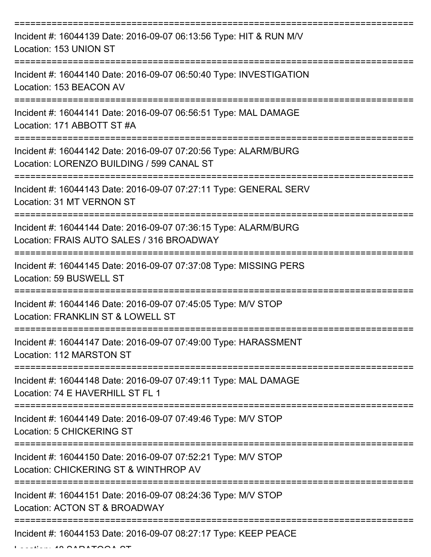| Incident #: 16044139 Date: 2016-09-07 06:13:56 Type: HIT & RUN M/V<br>Location: 153 UNION ST                 |
|--------------------------------------------------------------------------------------------------------------|
| Incident #: 16044140 Date: 2016-09-07 06:50:40 Type: INVESTIGATION<br>Location: 153 BEACON AV                |
| Incident #: 16044141 Date: 2016-09-07 06:56:51 Type: MAL DAMAGE<br>Location: 171 ABBOTT ST #A                |
| Incident #: 16044142 Date: 2016-09-07 07:20:56 Type: ALARM/BURG<br>Location: LORENZO BUILDING / 599 CANAL ST |
| Incident #: 16044143 Date: 2016-09-07 07:27:11 Type: GENERAL SERV<br>Location: 31 MT VERNON ST               |
| Incident #: 16044144 Date: 2016-09-07 07:36:15 Type: ALARM/BURG<br>Location: FRAIS AUTO SALES / 316 BROADWAY |
| Incident #: 16044145 Date: 2016-09-07 07:37:08 Type: MISSING PERS<br>Location: 59 BUSWELL ST                 |
| Incident #: 16044146 Date: 2016-09-07 07:45:05 Type: M/V STOP<br>Location: FRANKLIN ST & LOWELL ST           |
| Incident #: 16044147 Date: 2016-09-07 07:49:00 Type: HARASSMENT<br>Location: 112 MARSTON ST                  |
| Incident #: 16044148 Date: 2016-09-07 07:49:11 Type: MAL DAMAGE<br>Location: 74 E HAVERHILL ST FL 1          |
| Incident #: 16044149 Date: 2016-09-07 07:49:46 Type: M/V STOP<br>Location: 5 CHICKERING ST                   |
| Incident #: 16044150 Date: 2016-09-07 07:52:21 Type: M/V STOP<br>Location: CHICKERING ST & WINTHROP AV       |
| Incident #: 16044151 Date: 2016-09-07 08:24:36 Type: M/V STOP<br>Location: ACTON ST & BROADWAY               |
| Incident #: 16044153 Date: 2016-09-07 08:27:17 Type: KEEP PEACE                                              |

 $L$  $L$  $L$  $L$  $\sim$  48  $\Omega$ ARATOGA  $\Omega$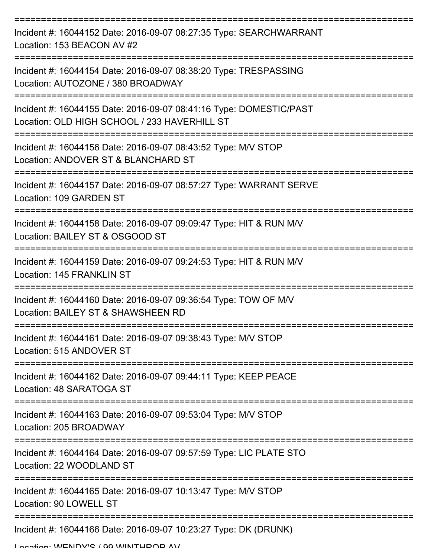| Incident #: 16044152 Date: 2016-09-07 08:27:35 Type: SEARCHWARRANT<br>Location: 153 BEACON AV #2                   |
|--------------------------------------------------------------------------------------------------------------------|
| Incident #: 16044154 Date: 2016-09-07 08:38:20 Type: TRESPASSING<br>Location: AUTOZONE / 380 BROADWAY              |
| Incident #: 16044155 Date: 2016-09-07 08:41:16 Type: DOMESTIC/PAST<br>Location: OLD HIGH SCHOOL / 233 HAVERHILL ST |
| Incident #: 16044156 Date: 2016-09-07 08:43:52 Type: M/V STOP<br>Location: ANDOVER ST & BLANCHARD ST               |
| Incident #: 16044157 Date: 2016-09-07 08:57:27 Type: WARRANT SERVE<br>Location: 109 GARDEN ST                      |
| Incident #: 16044158 Date: 2016-09-07 09:09:47 Type: HIT & RUN M/V<br>Location: BAILEY ST & OSGOOD ST              |
| Incident #: 16044159 Date: 2016-09-07 09:24:53 Type: HIT & RUN M/V<br><b>Location: 145 FRANKLIN ST</b>             |
| Incident #: 16044160 Date: 2016-09-07 09:36:54 Type: TOW OF M/V<br>Location: BAILEY ST & SHAWSHEEN RD              |
| Incident #: 16044161 Date: 2016-09-07 09:38:43 Type: M/V STOP<br>Location: 515 ANDOVER ST                          |
| Incident #: 16044162 Date: 2016-09-07 09:44:11 Type: KEEP PEACE<br>Location: 48 SARATOGA ST                        |
| Incident #: 16044163 Date: 2016-09-07 09:53:04 Type: M/V STOP<br>Location: 205 BROADWAY                            |
| Incident #: 16044164 Date: 2016-09-07 09:57:59 Type: LIC PLATE STO<br>Location: 22 WOODLAND ST                     |
| Incident #: 16044165 Date: 2016-09-07 10:13:47 Type: M/V STOP<br>Location: 90 LOWELL ST                            |
| Incident #: 16044166 Date: 2016-09-07 10:23:27 Type: DK (DRUNK)                                                    |

Location: WENDV'S / 00 WINTHDOD AV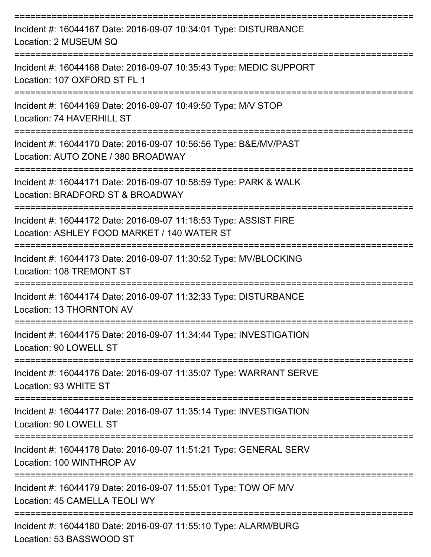| Incident #: 16044167 Date: 2016-09-07 10:34:01 Type: DISTURBANCE<br>Location: 2 MUSEUM SQ                       |
|-----------------------------------------------------------------------------------------------------------------|
| Incident #: 16044168 Date: 2016-09-07 10:35:43 Type: MEDIC SUPPORT<br>Location: 107 OXFORD ST FL 1              |
| Incident #: 16044169 Date: 2016-09-07 10:49:50 Type: M/V STOP<br>Location: 74 HAVERHILL ST                      |
| Incident #: 16044170 Date: 2016-09-07 10:56:56 Type: B&E/MV/PAST<br>Location: AUTO ZONE / 380 BROADWAY          |
| Incident #: 16044171 Date: 2016-09-07 10:58:59 Type: PARK & WALK<br>Location: BRADFORD ST & BROADWAY            |
| Incident #: 16044172 Date: 2016-09-07 11:18:53 Type: ASSIST FIRE<br>Location: ASHLEY FOOD MARKET / 140 WATER ST |
| Incident #: 16044173 Date: 2016-09-07 11:30:52 Type: MV/BLOCKING<br>Location: 108 TREMONT ST                    |
| Incident #: 16044174 Date: 2016-09-07 11:32:33 Type: DISTURBANCE<br>Location: 13 THORNTON AV                    |
| Incident #: 16044175 Date: 2016-09-07 11:34:44 Type: INVESTIGATION<br>Location: 90 LOWELL ST                    |
| Incident #: 16044176 Date: 2016-09-07 11:35:07 Type: WARRANT SERVE<br>Location: 93 WHITE ST                     |
| Incident #: 16044177 Date: 2016-09-07 11:35:14 Type: INVESTIGATION<br>Location: 90 LOWELL ST                    |
| Incident #: 16044178 Date: 2016-09-07 11:51:21 Type: GENERAL SERV<br>Location: 100 WINTHROP AV                  |
| Incident #: 16044179 Date: 2016-09-07 11:55:01 Type: TOW OF M/V<br>Location: 45 CAMELLA TEOLI WY                |
| Incident #: 16044180 Date: 2016-09-07 11:55:10 Type: ALARM/BURG<br>Location: 53 BASSWOOD ST                     |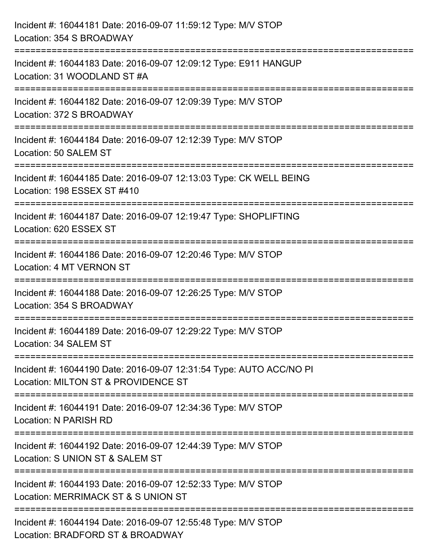| Incident #: 16044181 Date: 2016-09-07 11:59:12 Type: M/V STOP<br>Location: 354 S BROADWAY                                                                                 |
|---------------------------------------------------------------------------------------------------------------------------------------------------------------------------|
| =====================================<br>=============================<br>Incident #: 16044183 Date: 2016-09-07 12:09:12 Type: E911 HANGUP<br>Location: 31 WOODLAND ST #A |
| Incident #: 16044182 Date: 2016-09-07 12:09:39 Type: M/V STOP<br>Location: 372 S BROADWAY                                                                                 |
| Incident #: 16044184 Date: 2016-09-07 12:12:39 Type: M/V STOP<br>Location: 50 SALEM ST                                                                                    |
| Incident #: 16044185 Date: 2016-09-07 12:13:03 Type: CK WELL BEING<br>Location: 198 ESSEX ST #410                                                                         |
| Incident #: 16044187 Date: 2016-09-07 12:19:47 Type: SHOPLIFTING<br>Location: 620 ESSEX ST                                                                                |
| :===================================<br>Incident #: 16044186 Date: 2016-09-07 12:20:46 Type: M/V STOP<br>Location: 4 MT VERNON ST                                         |
| Incident #: 16044188 Date: 2016-09-07 12:26:25 Type: M/V STOP<br>Location: 354 S BROADWAY                                                                                 |
| Incident #: 16044189 Date: 2016-09-07 12:29:22 Type: M/V STOP<br>Location: 34 SALEM ST                                                                                    |
| Incident #: 16044190 Date: 2016-09-07 12:31:54 Type: AUTO ACC/NO PI<br>Location: MILTON ST & PROVIDENCE ST                                                                |
| Incident #: 16044191 Date: 2016-09-07 12:34:36 Type: M/V STOP<br>Location: N PARISH RD                                                                                    |
| Incident #: 16044192 Date: 2016-09-07 12:44:39 Type: M/V STOP<br>Location: S UNION ST & SALEM ST                                                                          |
| Incident #: 16044193 Date: 2016-09-07 12:52:33 Type: M/V STOP<br>Location: MERRIMACK ST & S UNION ST                                                                      |
| Incident #: 16044194 Date: 2016-09-07 12:55:48 Type: M/V STOP<br>Location: BRADFORD ST & BROADWAY                                                                         |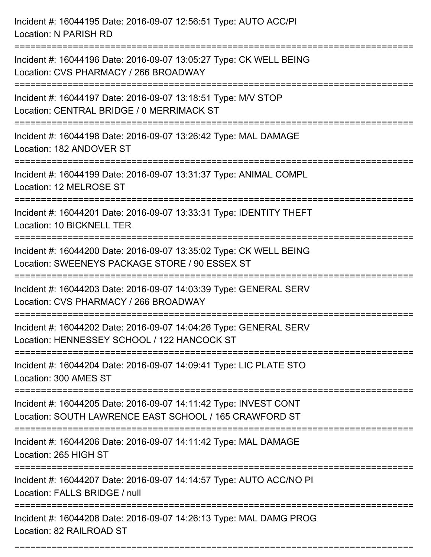Incident #: 16044195 Date: 2016-09-07 12:56:51 Type: AUTO ACC/PI Location: N PARISH RD =========================================================================== Incident #: 16044196 Date: 2016-09-07 13:05:27 Type: CK WELL BEING Location: CVS PHARMACY / 266 BROADWAY =========================================================================== Incident #: 16044197 Date: 2016-09-07 13:18:51 Type: M/V STOP Location: CENTRAL BRIDGE / 0 MERRIMACK ST =========================================================================== Incident #: 16044198 Date: 2016-09-07 13:26:42 Type: MAL DAMAGE Location: 182 ANDOVER ST =========================================================================== Incident #: 16044199 Date: 2016-09-07 13:31:37 Type: ANIMAL COMPL Location: 12 MELROSE ST =========================================================================== Incident #: 16044201 Date: 2016-09-07 13:33:31 Type: IDENTITY THEFT Location: 10 BICKNELL TER =========================================================================== Incident #: 16044200 Date: 2016-09-07 13:35:02 Type: CK WELL BEING Location: SWEENEYS PACKAGE STORE / 90 ESSEX ST =========================================================================== Incident #: 16044203 Date: 2016-09-07 14:03:39 Type: GENERAL SERV Location: CVS PHARMACY / 266 BROADWAY =========================================================================== Incident #: 16044202 Date: 2016-09-07 14:04:26 Type: GENERAL SERV Location: HENNESSEY SCHOOL / 122 HANCOCK ST =========================================================================== Incident #: 16044204 Date: 2016-09-07 14:09:41 Type: LIC PLATE STO Location: 300 AMES ST =========================================================================== Incident #: 16044205 Date: 2016-09-07 14:11:42 Type: INVEST CONT Location: SOUTH LAWRENCE EAST SCHOOL / 165 CRAWFORD ST =========================================================================== Incident #: 16044206 Date: 2016-09-07 14:11:42 Type: MAL DAMAGE Location: 265 HIGH ST =========================================================================== Incident #: 16044207 Date: 2016-09-07 14:14:57 Type: AUTO ACC/NO PI Location: FALLS BRIDGE / null =========================================================================== Incident #: 16044208 Date: 2016-09-07 14:26:13 Type: MAL DAMG PROG Location: 82 RAILROAD ST

===========================================================================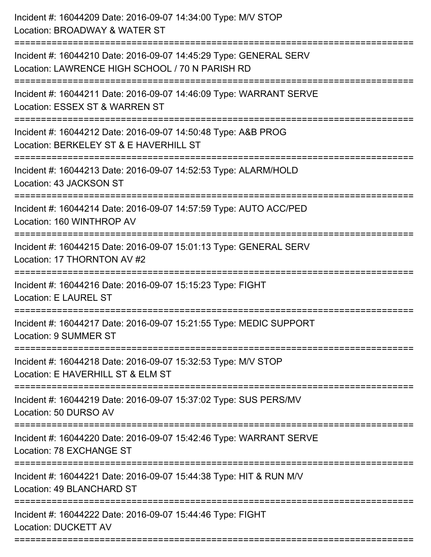| Incident #: 16044209 Date: 2016-09-07 14:34:00 Type: M/V STOP<br>Location: BROADWAY & WATER ST                                      |
|-------------------------------------------------------------------------------------------------------------------------------------|
| Incident #: 16044210 Date: 2016-09-07 14:45:29 Type: GENERAL SERV<br>Location: LAWRENCE HIGH SCHOOL / 70 N PARISH RD                |
| Incident #: 16044211 Date: 2016-09-07 14:46:09 Type: WARRANT SERVE<br>Location: ESSEX ST & WARREN ST<br>------------------------    |
| Incident #: 16044212 Date: 2016-09-07 14:50:48 Type: A&B PROG<br>Location: BERKELEY ST & E HAVERHILL ST                             |
| Incident #: 16044213 Date: 2016-09-07 14:52:53 Type: ALARM/HOLD<br>Location: 43 JACKSON ST                                          |
| Incident #: 16044214 Date: 2016-09-07 14:57:59 Type: AUTO ACC/PED<br>Location: 160 WINTHROP AV                                      |
| Incident #: 16044215 Date: 2016-09-07 15:01:13 Type: GENERAL SERV<br>Location: 17 THORNTON AV #2                                    |
| Incident #: 16044216 Date: 2016-09-07 15:15:23 Type: FIGHT<br>Location: E LAUREL ST                                                 |
| Incident #: 16044217 Date: 2016-09-07 15:21:55 Type: MEDIC SUPPORT<br><b>Location: 9 SUMMER ST</b>                                  |
| Incident #: 16044218 Date: 2016-09-07 15:32:53 Type: M/V STOP<br>Location: E HAVERHILL ST & ELM ST                                  |
| Incident #: 16044219 Date: 2016-09-07 15:37:02 Type: SUS PERS/MV<br>Location: 50 DURSO AV                                           |
| Incident #: 16044220 Date: 2016-09-07 15:42:46 Type: WARRANT SERVE<br>Location: 78 EXCHANGE ST<br>================================= |
| Incident #: 16044221 Date: 2016-09-07 15:44:38 Type: HIT & RUN M/V<br>Location: 49 BLANCHARD ST                                     |
| Incident #: 16044222 Date: 2016-09-07 15:44:46 Type: FIGHT<br>Location: DUCKETT AV                                                  |
|                                                                                                                                     |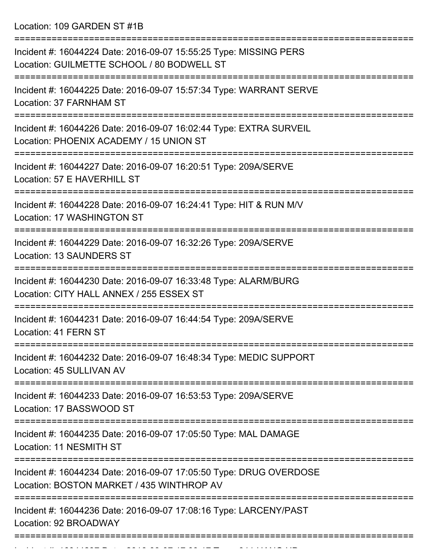Location: 109 GARDEN ST #1B

| Incident #: 16044224 Date: 2016-09-07 15:55:25 Type: MISSING PERS<br>Location: GUILMETTE SCHOOL / 80 BODWELL ST |
|-----------------------------------------------------------------------------------------------------------------|
| Incident #: 16044225 Date: 2016-09-07 15:57:34 Type: WARRANT SERVE<br>Location: 37 FARNHAM ST                   |
| Incident #: 16044226 Date: 2016-09-07 16:02:44 Type: EXTRA SURVEIL<br>Location: PHOENIX ACADEMY / 15 UNION ST   |
| Incident #: 16044227 Date: 2016-09-07 16:20:51 Type: 209A/SERVE<br>Location: 57 E HAVERHILL ST                  |
| Incident #: 16044228 Date: 2016-09-07 16:24:41 Type: HIT & RUN M/V<br>Location: 17 WASHINGTON ST                |
| Incident #: 16044229 Date: 2016-09-07 16:32:26 Type: 209A/SERVE<br><b>Location: 13 SAUNDERS ST</b>              |
| Incident #: 16044230 Date: 2016-09-07 16:33:48 Type: ALARM/BURG<br>Location: CITY HALL ANNEX / 255 ESSEX ST     |
| Incident #: 16044231 Date: 2016-09-07 16:44:54 Type: 209A/SERVE<br>Location: 41 FERN ST                         |
| Incident #: 16044232 Date: 2016-09-07 16:48:34 Type: MEDIC SUPPORT<br>Location: 45 SULLIVAN AV                  |
| Incident #: 16044233 Date: 2016-09-07 16:53:53 Type: 209A/SERVE<br>Location: 17 BASSWOOD ST                     |
| Incident #: 16044235 Date: 2016-09-07 17:05:50 Type: MAL DAMAGE<br>Location: 11 NESMITH ST                      |
| Incident #: 16044234 Date: 2016-09-07 17:05:50 Type: DRUG OVERDOSE<br>Location: BOSTON MARKET / 435 WINTHROP AV |
| Incident #: 16044236 Date: 2016-09-07 17:08:16 Type: LARCENY/PAST<br>Location: 92 BROADWAY                      |
|                                                                                                                 |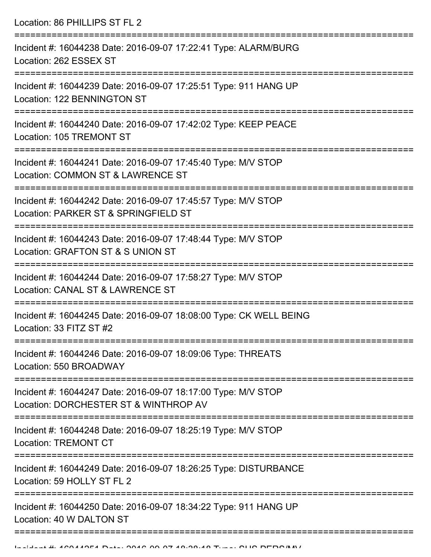Location: 86 PHILLIPS ST FL 2 =========================================================================== Incident #: 16044238 Date: 2016-09-07 17:22:41 Type: ALARM/BURG Location: 262 ESSEX ST =========================================================================== Incident #: 16044239 Date: 2016-09-07 17:25:51 Type: 911 HANG UP Location: 122 BENNINGTON ST =========================================================================== Incident #: 16044240 Date: 2016-09-07 17:42:02 Type: KEEP PEACE Location: 105 TREMONT ST =========================================================================== Incident #: 16044241 Date: 2016-09-07 17:45:40 Type: M/V STOP Location: COMMON ST & LAWRENCE ST =========================================================================== Incident #: 16044242 Date: 2016-09-07 17:45:57 Type: M/V STOP Location: PARKER ST & SPRINGFIELD ST =========================================================================== Incident #: 16044243 Date: 2016-09-07 17:48:44 Type: M/V STOP Location: GRAFTON ST & S UNION ST =========================================================================== Incident #: 16044244 Date: 2016-09-07 17:58:27 Type: M/V STOP Location: CANAL ST & LAWRENCE ST =========================================================================== Incident #: 16044245 Date: 2016-09-07 18:08:00 Type: CK WELL BEING Location: 33 FITZ ST #2 =========================================================================== Incident #: 16044246 Date: 2016-09-07 18:09:06 Type: THREATS Location: 550 BROADWAY =========================================================================== Incident #: 16044247 Date: 2016-09-07 18:17:00 Type: M/V STOP Location: DORCHESTER ST & WINTHROP AV =========================================================================== Incident #: 16044248 Date: 2016-09-07 18:25:19 Type: M/V STOP Location: TREMONT CT =========================================================================== Incident #: 16044249 Date: 2016-09-07 18:26:25 Type: DISTURBANCE Location: 59 HOLLY ST FL 2 =========================================================================== Incident #: 16044250 Date: 2016-09-07 18:34:22 Type: 911 HANG UP Location: 40 W DALTON ST ===========================================================================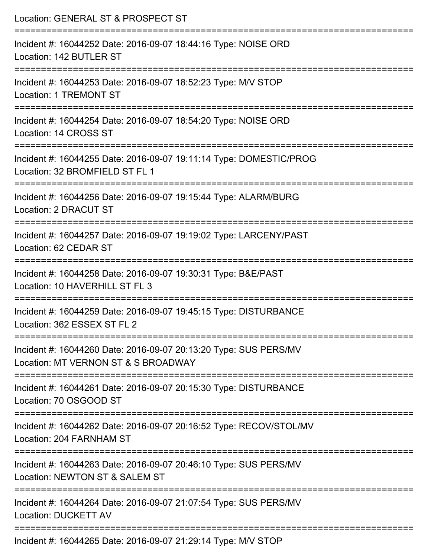| Location: GENERAL ST & PROSPECT ST                                                                      |
|---------------------------------------------------------------------------------------------------------|
| Incident #: 16044252 Date: 2016-09-07 18:44:16 Type: NOISE ORD<br>Location: 142 BUTLER ST               |
| Incident #: 16044253 Date: 2016-09-07 18:52:23 Type: M/V STOP<br><b>Location: 1 TREMONT ST</b>          |
| Incident #: 16044254 Date: 2016-09-07 18:54:20 Type: NOISE ORD<br>Location: 14 CROSS ST                 |
| Incident #: 16044255 Date: 2016-09-07 19:11:14 Type: DOMESTIC/PROG<br>Location: 32 BROMFIELD ST FL 1    |
| Incident #: 16044256 Date: 2016-09-07 19:15:44 Type: ALARM/BURG<br>Location: 2 DRACUT ST                |
| Incident #: 16044257 Date: 2016-09-07 19:19:02 Type: LARCENY/PAST<br>Location: 62 CEDAR ST              |
| Incident #: 16044258 Date: 2016-09-07 19:30:31 Type: B&E/PAST<br>Location: 10 HAVERHILL ST FL 3         |
| Incident #: 16044259 Date: 2016-09-07 19:45:15 Type: DISTURBANCE<br>Location: 362 ESSEX ST FL 2         |
| Incident #: 16044260 Date: 2016-09-07 20:13:20 Type: SUS PERS/MV<br>Location: MT VERNON ST & S BROADWAY |
| Incident #: 16044261 Date: 2016-09-07 20:15:30 Type: DISTURBANCE<br>Location: 70 OSGOOD ST              |
| Incident #: 16044262 Date: 2016-09-07 20:16:52 Type: RECOV/STOL/MV<br>Location: 204 FARNHAM ST          |
| Incident #: 16044263 Date: 2016-09-07 20:46:10 Type: SUS PERS/MV<br>Location: NEWTON ST & SALEM ST      |
| Incident #: 16044264 Date: 2016-09-07 21:07:54 Type: SUS PERS/MV<br><b>Location: DUCKETT AV</b>         |
| Incident #: 16044265 Date: 2016-09-07 21:29:14 Type: M/V STOP                                           |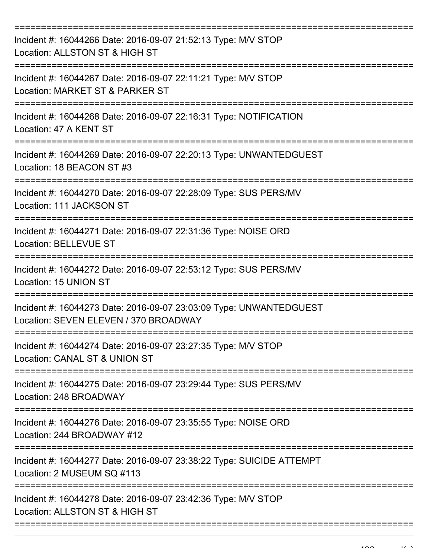| Incident #: 16044266 Date: 2016-09-07 21:52:13 Type: M/V STOP<br>Location: ALLSTON ST & HIGH ST                              |
|------------------------------------------------------------------------------------------------------------------------------|
| Incident #: 16044267 Date: 2016-09-07 22:11:21 Type: M/V STOP<br>Location: MARKET ST & PARKER ST                             |
| Incident #: 16044268 Date: 2016-09-07 22:16:31 Type: NOTIFICATION<br>Location: 47 A KENT ST                                  |
| Incident #: 16044269 Date: 2016-09-07 22:20:13 Type: UNWANTEDGUEST<br>Location: 18 BEACON ST #3                              |
| Incident #: 16044270 Date: 2016-09-07 22:28:09 Type: SUS PERS/MV<br>Location: 111 JACKSON ST                                 |
| Incident #: 16044271 Date: 2016-09-07 22:31:36 Type: NOISE ORD<br><b>Location: BELLEVUE ST</b>                               |
| Incident #: 16044272 Date: 2016-09-07 22:53:12 Type: SUS PERS/MV<br>Location: 15 UNION ST                                    |
| =============<br>Incident #: 16044273 Date: 2016-09-07 23:03:09 Type: UNWANTEDGUEST<br>Location: SEVEN ELEVEN / 370 BROADWAY |
| Incident #: 16044274 Date: 2016-09-07 23:27:35 Type: M/V STOP<br>Location: CANAL ST & UNION ST                               |
| Incident #: 16044275 Date: 2016-09-07 23:29:44 Type: SUS PERS/MV<br>Location: 248 BROADWAY                                   |
| Incident #: 16044276 Date: 2016-09-07 23:35:55 Type: NOISE ORD<br>Location: 244 BROADWAY #12                                 |
| Incident #: 16044277 Date: 2016-09-07 23:38:22 Type: SUICIDE ATTEMPT<br>Location: 2 MUSEUM SQ #113                           |
| Incident #: 16044278 Date: 2016-09-07 23:42:36 Type: M/V STOP<br>Location: ALLSTON ST & HIGH ST                              |
|                                                                                                                              |